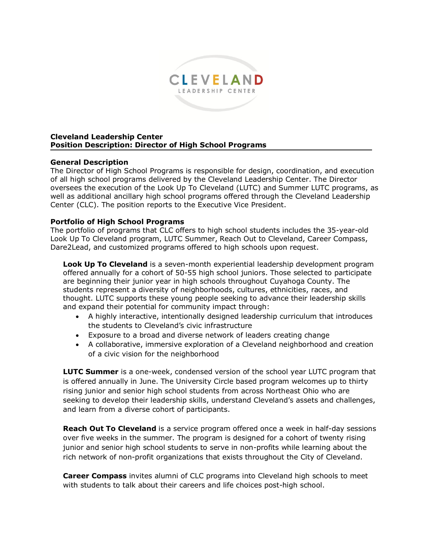

#### **Cleveland Leadership Center Position Description: Director of High School Programs**

### **General Description**

The Director of High School Programs is responsible for design, coordination, and execution of all high school programs delivered by the Cleveland Leadership Center. The Director oversees the execution of the Look Up To Cleveland (LUTC) and Summer LUTC programs, as well as additional ancillary high school programs offered through the Cleveland Leadership Center (CLC). The position reports to the Executive Vice President.

### **Portfolio of High School Programs**

The portfolio of programs that CLC offers to high school students includes the 35-year-old Look Up To Cleveland program, LUTC Summer, Reach Out to Cleveland, Career Compass, Dare2Lead, and customized programs offered to high schools upon request.

**Look Up To Cleveland** is a seven-month experiential leadership development program offered annually for a cohort of 50-55 high school juniors. Those selected to participate are beginning their junior year in high schools throughout Cuyahoga County. The students represent a diversity of neighborhoods, cultures, ethnicities, races, and thought. LUTC supports these young people seeking to advance their leadership skills and expand their potential for community impact through:

- A highly interactive, intentionally designed leadership curriculum that introduces the students to Cleveland's civic infrastructure
- Exposure to a broad and diverse network of leaders creating change
- A collaborative, immersive exploration of a Cleveland neighborhood and creation of a civic vision for the neighborhood

**LUTC Summer** is a one-week, condensed version of the school year LUTC program that is offered annually in June. The University Circle based program welcomes up to thirty rising junior and senior high school students from across Northeast Ohio who are seeking to develop their leadership skills, understand Cleveland's assets and challenges, and learn from a diverse cohort of participants.

**Reach Out To Cleveland** is a service program offered once a week in half-day sessions over five weeks in the summer. The program is designed for a cohort of twenty rising junior and senior high school students to serve in non-profits while learning about the rich network of non-profit organizations that exists throughout the City of Cleveland.

**Career Compass** invites alumni of CLC programs into Cleveland high schools to meet with students to talk about their careers and life choices post-high school.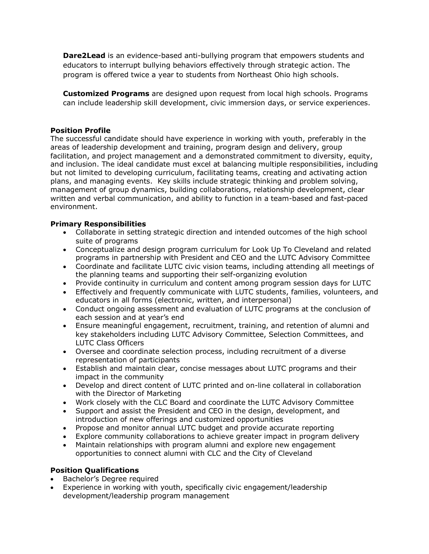**Dare2Lead** is an evidence-based anti-bullying program that empowers students and educators to interrupt bullying behaviors effectively through strategic action. The program is offered twice a year to students from Northeast Ohio high schools.

**Customized Programs** are designed upon request from local high schools. Programs can include leadership skill development, civic immersion days, or service experiences.

### **Position Profile**

The successful candidate should have experience in working with youth, preferably in the areas of leadership development and training, program design and delivery, group facilitation, and project management and a demonstrated commitment to diversity, equity, and inclusion. The ideal candidate must excel at balancing multiple responsibilities, including but not limited to developing curriculum, facilitating teams, creating and activating action plans, and managing events. Key skills include strategic thinking and problem solving, management of group dynamics, building collaborations, relationship development, clear written and verbal communication, and ability to function in a team-based and fast-paced environment.

### **Primary Responsibilities**

- Collaborate in setting strategic direction and intended outcomes of the high school suite of programs
- Conceptualize and design program curriculum for Look Up To Cleveland and related programs in partnership with President and CEO and the LUTC Advisory Committee
- Coordinate and facilitate LUTC civic vision teams, including attending all meetings of the planning teams and supporting their self-organizing evolution
- Provide continuity in curriculum and content among program session days for LUTC
- Effectively and frequently communicate with LUTC students, families, volunteers, and educators in all forms (electronic, written, and interpersonal)
- Conduct ongoing assessment and evaluation of LUTC programs at the conclusion of each session and at year's end
- Ensure meaningful engagement, recruitment, training, and retention of alumni and key stakeholders including LUTC Advisory Committee, Selection Committees, and LUTC Class Officers
- Oversee and coordinate selection process, including recruitment of a diverse representation of participants
- Establish and maintain clear, concise messages about LUTC programs and their impact in the community
- Develop and direct content of LUTC printed and on-line collateral in collaboration with the Director of Marketing
- Work closely with the CLC Board and coordinate the LUTC Advisory Committee
- Support and assist the President and CEO in the design, development, and introduction of new offerings and customized opportunities
- Propose and monitor annual LUTC budget and provide accurate reporting
- Explore community collaborations to achieve greater impact in program delivery
- Maintain relationships with program alumni and explore new engagement opportunities to connect alumni with CLC and the City of Cleveland

# **Position Qualifications**

- Bachelor's Degree required
- Experience in working with youth, specifically civic engagement/leadership development/leadership program management